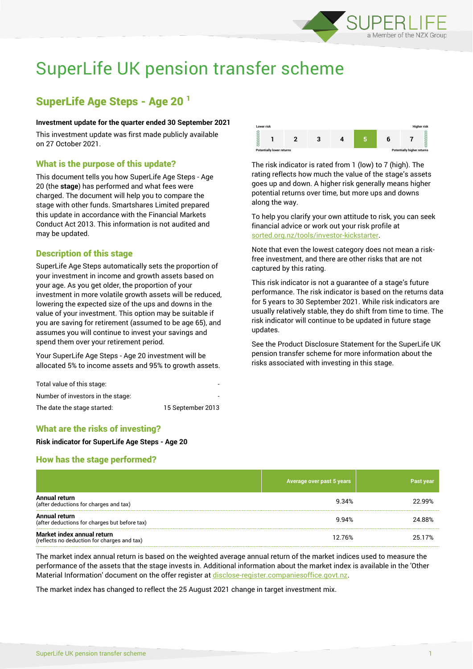

# SuperLife UK pension transfer scheme

# SuperLife Age Steps - Age 20 <sup>1</sup>

#### **Investment update for the quarter ended 30 September 2021**

This investment update was first made publicly available on 27 October 2021.

# What is the purpose of this update?

This document tells you how SuperLife Age Steps - Age 20 (the **stage**) has performed and what fees were charged. The document will help you to compare the stage with other funds. Smartshares Limited prepared this update in accordance with the Financial Markets Conduct Act 2013. This information is not audited and may be updated.

# Description of this stage

SuperLife Age Steps automatically sets the proportion of your investment in income and growth assets based on your age. As you get older, the proportion of your investment in more volatile growth assets will be reduced, lowering the expected size of the ups and downs in the value of your investment. This option may be suitable if you are saving for retirement (assumed to be age 65), and assumes you will continue to invest your savings and spend them over your retirement period.

Your SuperLife Age Steps - Age 20 investment will be allocated 5% to income assets and 95% to growth assets.

| Total value of this stage:        |                   |
|-----------------------------------|-------------------|
| Number of investors in the stage: |                   |
| The date the stage started:       | 15 September 2013 |



The risk indicator is rated from 1 (low) to 7 (high). The rating reflects how much the value of the stage's assets goes up and down. A higher risk generally means higher potential returns over time, but more ups and downs along the way.

To help you clarify your own attitude to risk, you can seek financial advice or work out your risk profile at [sorted.org.nz/tools/investor-kickstarter.](http://www.sorted.org.nz/tools/investor-kickstarter)

Note that even the lowest category does not mean a riskfree investment, and there are other risks that are not captured by this rating.

This risk indicator is not a guarantee of a stage's future performance. The risk indicator is based on the returns data for 5 years to 30 September 2021. While risk indicators are usually relatively stable, they do shift from time to time. The risk indicator will continue to be updated in future stage updates.

See the Product Disclosure Statement for the SuperLife UK pension transfer scheme for more information about the risks associated with investing in this stage.

# What are the risks of investing?

#### **Risk indicator for SuperLife Age Steps - Age 20**

# How has the stage performed?

|                                                                           | Average over past 5 years | Past year |
|---------------------------------------------------------------------------|---------------------------|-----------|
| Annual return<br>(after deductions for charges and tax)                   | 9.34%                     | 22.99%    |
| Annual return<br>(after deductions for charges but before tax)            | 9.94%                     | 24.88%    |
| Market index annual return<br>(reflects no deduction for charges and tax) | 12.76%                    | 25.17%    |

The market index annual return is based on the weighted average annual return of the market indices used to measure the performance of the assets that the stage invests in. Additional information about the market index is available in the 'Other Material Information' document on the offer register at [disclose-register.companiesoffice.govt.nz.](http://www.disclose-register.companiesoffice.govt.nz/)

The market index has changed to reflect the 25 August 2021 change in target investment mix.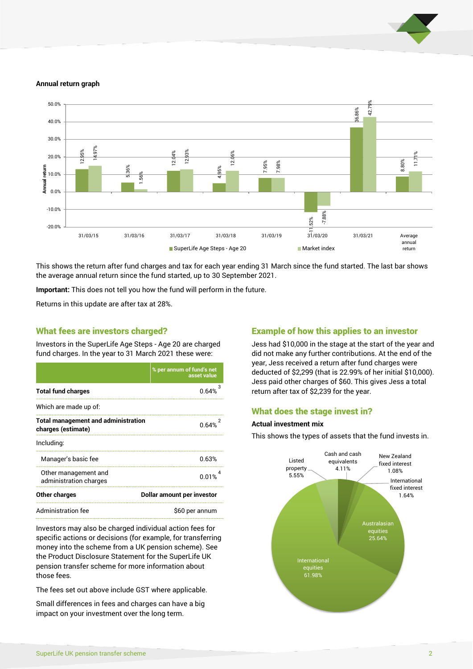

#### **Annual return graph**



This shows the return after fund charges and tax for each year ending 31 March since the fund started. The last bar shows the average annual return since the fund started, up to 30 September 2021.

**Important:** This does not tell you how the fund will perform in the future.

Returns in this update are after tax at 28%.

#### What fees are investors charged?

Investors in the SuperLife Age Steps - Age 20 are charged fund charges. In the year to 31 March 2021 these were:

|                                                                  | % per annum of fund's net<br>asset value |  |
|------------------------------------------------------------------|------------------------------------------|--|
| <b>Total fund charges</b>                                        | 0.64%                                    |  |
| Which are made up of:                                            |                                          |  |
| <b>Total management and administration</b><br>charges (estimate) | 0.64%                                    |  |
| Including:                                                       |                                          |  |
| Manager's basic fee                                              | 0.63%                                    |  |
| Other management and<br>administration charges                   | 0.01%                                    |  |
| <b>Other charges</b>                                             | Dollar amount per investor               |  |
| Administration fee                                               | \$60 per annum                           |  |

Investors may also be charged individual action fees for specific actions or decisions (for example, for transferring money into the scheme from a UK pension scheme). See the Product Disclosure Statement for the SuperLife UK pension transfer scheme for more information about those fees.

The fees set out above include GST where applicable.

Small differences in fees and charges can have a big impact on your investment over the long term.

### Example of how this applies to an investor

Jess had \$10,000 in the stage at the start of the year and did not make any further contributions. At the end of the year, Jess received a return after fund charges were deducted of \$2,299 (that is 22.99% of her initial \$10,000). Jess paid other charges of \$60. This gives Jess a total return after tax of \$2,239 for the year.

#### What does the stage invest in?

#### **Actual investment mix**

This shows the types of assets that the fund invests in.

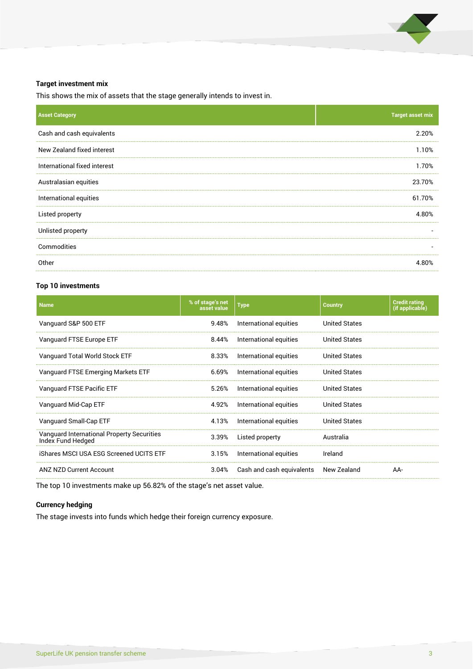

#### **Target investment mix**

This shows the mix of assets that the stage generally intends to invest in.

| <b>Asset Category</b>        | <b>Target asset mix</b>  |
|------------------------------|--------------------------|
| Cash and cash equivalents    | 2.20%                    |
| New Zealand fixed interest   | 1.10%                    |
| International fixed interest | 1.70%                    |
| Australasian equities        | 23.70%                   |
| International equities       | 61.70%                   |
| Listed property              | 4.80%                    |
| Unlisted property            |                          |
| Commodities                  | $\overline{\phantom{a}}$ |
| Other                        | 4.80%                    |

#### **Top 10 investments**

| <b>Name</b>                                                     | % of stage's net<br>asset value | <b>Type</b>               | <b>Country</b>       | <b>Credit rating</b><br>(if applicable) |
|-----------------------------------------------------------------|---------------------------------|---------------------------|----------------------|-----------------------------------------|
| Vanguard S&P 500 ETF                                            | 9.48%                           | International equities    | United States        |                                         |
| Vanguard FTSE Europe ETF                                        | 8.44%                           | International equities    | United States        |                                         |
| Vanguard Total World Stock ETF                                  | 8.33%                           | International equities    | <b>United States</b> |                                         |
| Vanguard FTSE Emerging Markets ETF                              | 6.69%                           | International equities    | <b>United States</b> |                                         |
| Vanguard FTSE Pacific ETF                                       | 5.26%                           | International equities    | United States        |                                         |
| Vanguard Mid-Cap ETF                                            | 4.92%                           | International equities    | <b>United States</b> |                                         |
| Vanguard Small-Cap ETF                                          | 4.13%                           | International equities    | <b>United States</b> |                                         |
| Vanguard International Property Securities<br>Index Fund Hedged | 3.39%                           | Listed property           | Australia            |                                         |
| iShares MSCI USA ESG Screened UCITS ETF                         | 3.15%                           | International equities    | Ireland              |                                         |
| <b>ANZ NZD Current Account</b>                                  | 3.04%                           | Cash and cash equivalents | New Zealand          | AA-                                     |

The top 10 investments make up 56.82% of the stage's net asset value.

#### **Currency hedging**

The stage invests into funds which hedge their foreign currency exposure.